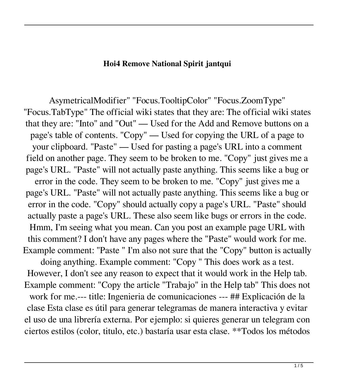## **Hoi4 Remove National Spirit jantqui**

AsymetricalModifier" "Focus.TooltipColor" "Focus.ZoomType" "Focus.TabType" The official wiki states that they are: The official wiki states that they are: "Into" and "Out" — Used for the Add and Remove buttons on a page's table of contents. "Copy" — Used for copying the URL of a page to your clipboard. "Paste" — Used for pasting a page's URL into a comment field on another page. They seem to be broken to me. "Copy" just gives me a page's URL. "Paste" will not actually paste anything. This seems like a bug or error in the code. They seem to be broken to me. "Copy" just gives me a page's URL. "Paste" will not actually paste anything. This seems like a bug or error in the code. "Copy" should actually copy a page's URL. "Paste" should actually paste a page's URL. These also seem like bugs or errors in the code. Hmm, I'm seeing what you mean. Can you post an example page URL with this comment? I don't have any pages where the "Paste" would work for me. Example comment: "Paste " I'm also not sure that the "Copy" button is actually doing anything. Example comment: "Copy " This does work as a test. However, I don't see any reason to expect that it would work in the Help tab. Example comment: "Copy the article "Trabajo" in the Help tab" This does not

work for me.--- title: Ingenieria de comunicaciones --- ## Explicación de la clase Esta clase es útil para generar telegramas de manera interactiva y evitar el uso de una librería externa. Por ejemplo: si quieres generar un telegram con ciertos estilos (color, titulo, etc.) bastaría usar esta clase. \*\*Todos los métodos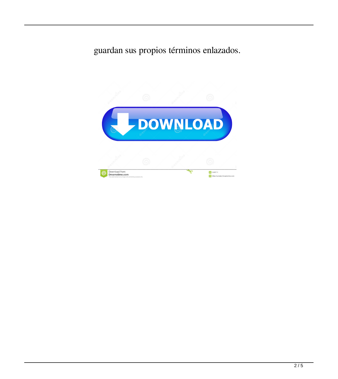guardan sus propios términos enlazados.

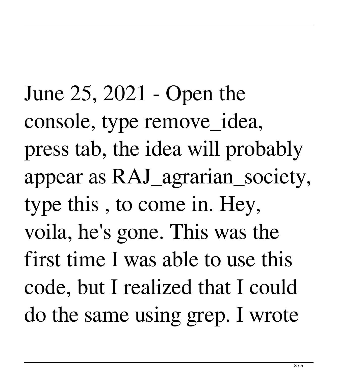June 25, 2021 - Open the console, type remove\_idea, press tab, the idea will probably appear as RAJ\_agrarian\_society, type this , to come in. Hey, voila, he's gone. This was the first time I was able to use this code, but I realized that I could do the same using grep. I wrote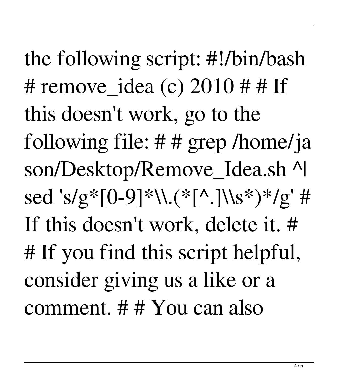the following script: #!/bin/bash # remove idea (c)  $2010 \# H$  If this doesn't work, go to the following file: # # grep /home/ja son/Desktop/Remove\_Idea.sh ^| sed 's/g\*[0-9]\*\\.(\*[^.]\\s\*)\*/g' # If this doesn't work, delete it. # # If you find this script helpful, consider giving us a like or a comment. # # You can also